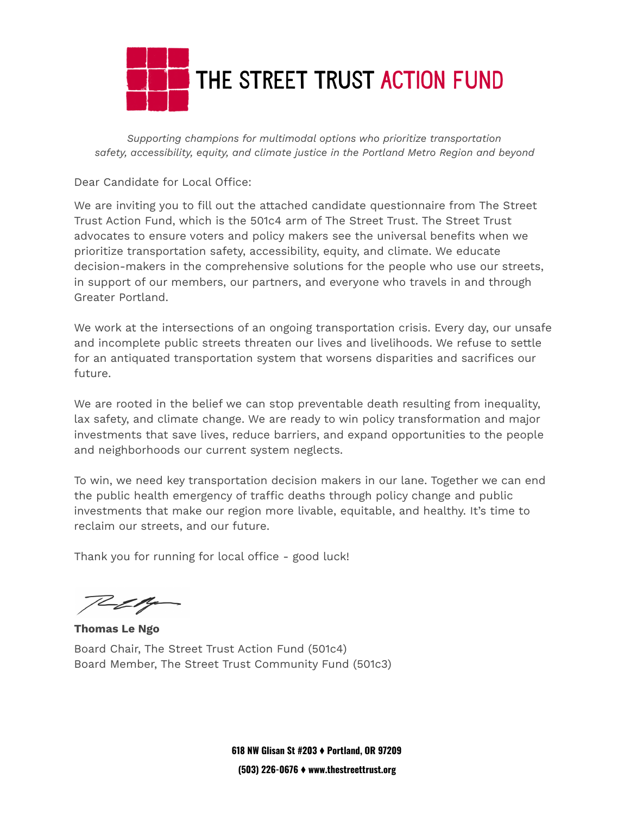

*Supporting champions for multimodal options who prioritize transportation safety, accessibility, equity, and climate justice in the Portland Metro Region and beyond*

Dear Candidate for Local Office:

We are inviting you to fill out the attached candidate questionnaire from The Street Trust Action Fund, which is the 501c4 arm of The Street Trust. The Street Trust advocates to ensure voters and policy makers see the universal benefits when we prioritize transportation safety, accessibility, equity, and climate. We educate decision-makers in the comprehensive solutions for the people who use our streets, in support of our members, our partners, and everyone who travels in and through Greater Portland.

We work at the intersections of an ongoing transportation crisis. Every day, our unsafe and incomplete public streets threaten our lives and livelihoods. We refuse to settle for an antiquated transportation system that worsens disparities and sacrifices our future.

We are rooted in the belief we can stop preventable death resulting from inequality, lax safety, and climate change. We are ready to win policy transformation and major investments that save lives, reduce barriers, and expand opportunities to the people and neighborhoods our current system neglects.

To win, we need key transportation decision makers in our lane. Together we can end the public health emergency of traffic deaths through policy change and public investments that make our region more livable, equitable, and healthy. It's time to reclaim our streets, and our future.

Thank you for running for local office - good luck!

<u>il e</u>t ty

**Thomas Le Ngo** Board Chair, The Street Trust Action Fund (501c4) Board Member, The Street Trust Community Fund (501c3)

**618 NW Glisan St #203** ⧫ **Portland, OR 97209 (503) 226-0676** ⧫ **www.thestreettrust.org**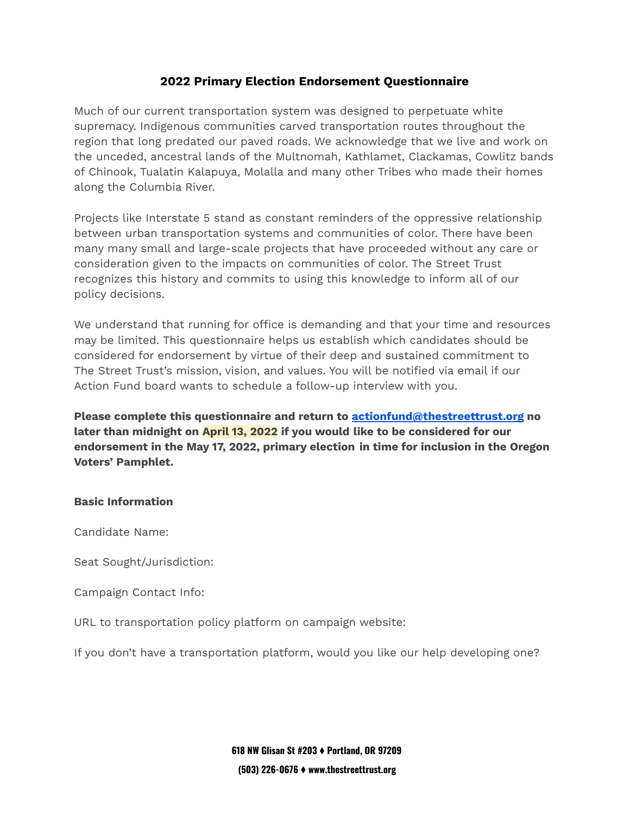## **2022 Primary Election Endorsement Questionnaire**

Much of our current transportation system was designed to perpetuate white supremacy. Indigenous communities carved transportation routes throughout the region that long predated our paved roads. We acknowledge that we live and work on the unceded, ancestral lands of the Multnomah, Kathlamet, Clackamas, Cowlitz bands of Chinook, Tualatin Kalapuya, Molalla and many other Tribes who made their homes along the Columbia River.

Projects like Interstate 5 stand as constant reminders of the oppressive relationship between urban transportation systems and communities of color. There have been many many small and large-scale projects that have proceeded without any care or consideration given to the impacts on communities of color. The Street Trust recognizes this history and commits to using this knowledge to inform all of our policy decisions.

We understand that running for office is demanding and that your time and resources may be limited. This questionnaire helps us establish which candidates should be considered for endorsement by virtue of their deep and sustained commitment to The Street Trust's mission, vision, and values. You will be notified via email if our Action Fund board wants to schedule a follow-up interview with you.

**Please complete this questionnaire and return to [actionfund@thestreettrust.org](mailto:actionfund@thestreettrust.org) no later than midnight on April 13, 2022 if you would like to be considered for our endorsement in the May 17, 2022, primary election in time for inclusion in the Oregon Voters' Pamphlet.**

## **Basic Information**

Candidate Name:

Seat Sought/Jurisdiction:

Campaign Contact Info:

URL to transportation policy platform on campaign website:

If you don't have a transportation platform, would you like our help developing one?

**618 NW Glisan St #203** ⧫ **Portland, OR 97209 (503) 226-0676** ⧫ **www.thestreettrust.org**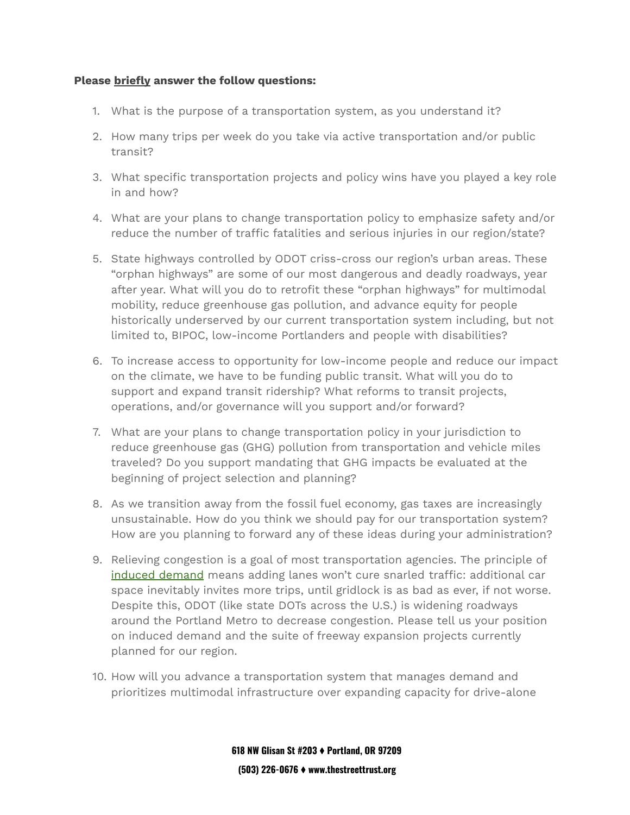## **Please briefly answer the follow questions:**

- 1. What is the purpose of a transportation system, as you understand it?
- 2. How many trips per week do you take via active transportation and/or public transit?
- 3. What specific transportation projects and policy wins have you played a key role in and how?
- 4. What are your plans to change transportation policy to emphasize safety and/or reduce the number of traffic fatalities and serious injuries in our region/state?
- 5. State highways controlled by ODOT criss-cross our region's urban areas. These "orphan highways" are some of our most dangerous and deadly roadways, year after year. What will you do to retrofit these "orphan highways" for multimodal mobility, reduce greenhouse gas pollution, and advance equity for people historically underserved by our current transportation system including, but not limited to, BIPOC, low-income Portlanders and people with disabilities?
- 6. To increase access to opportunity for low-income people and reduce our impact on the climate, we have to be funding public transit. What will you do to support and expand transit ridership? What reforms to transit projects, operations, and/or governance will you support and/or forward?
- 7. What are your plans to change transportation policy in your jurisdiction to reduce greenhouse gas (GHG) pollution from transportation and vehicle miles traveled? Do you support mandating that GHG impacts be evaluated at the beginning of project selection and planning?
- 8. As we transition away from the fossil fuel economy, gas taxes are increasingly unsustainable. How do you think we should pay for our transportation system? How are you planning to forward any of these ideas during your administration?
- 9. Relieving congestion is a goal of most transportation agencies. The principle of induced [demand](https://www.planetizen.com/tag/induced-demand) means adding lanes won't cure snarled traffic: additional car space inevitably invites more trips, until gridlock is as bad as ever, if not worse. Despite this, ODOT (like state DOTs across the U.S.) is widening roadways around the Portland Metro to decrease congestion. Please tell us your position on induced demand and the suite of freeway expansion projects currently planned for our region.
- 10. How will you advance a transportation system that manages demand and prioritizes multimodal infrastructure over expanding capacity for drive-alone

**618 NW Glisan St #203** ⧫ **Portland, OR 97209 (503) 226-0676** ⧫ **www.thestreettrust.org**